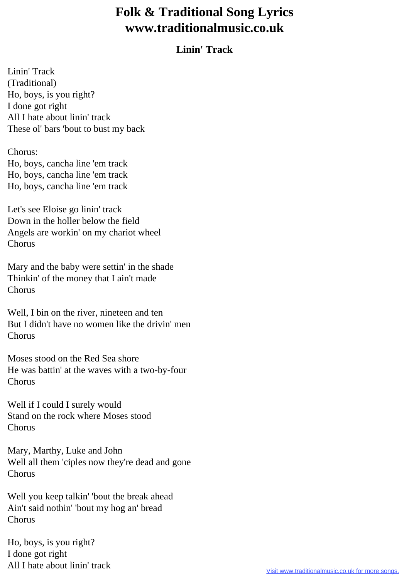## **Folk & Traditional Song Lyrics www.traditionalmusic.co.uk**

## **Linin' Track**

Linin' Track (Traditional) Ho, boys, is you right? I done got right All I hate about linin' track These ol' bars 'bout to bust my back

Chorus:

Ho, boys, cancha line 'em track Ho, boys, cancha line 'em track Ho, boys, cancha line 'em track

Let's see Eloise go linin' track Down in the holler below the field Angels are workin' on my chariot wheel Chorus

Mary and the baby were settin' in the shade Thinkin' of the money that I ain't made Chorus

Well, I bin on the river, nineteen and ten But I didn't have no women like the drivin' men Chorus

Moses stood on the Red Sea shore He was battin' at the waves with a two-by-four Chorus

Well if I could I surely would Stand on the rock where Moses stood Chorus

Mary, Marthy, Luke and John Well all them 'ciples now they're dead and gone Chorus

Well you keep talkin' 'bout the break ahead Ain't said nothin' 'bout my hog an' bread Chorus

Ho, boys, is you right? I done got right All I hate about linin' track